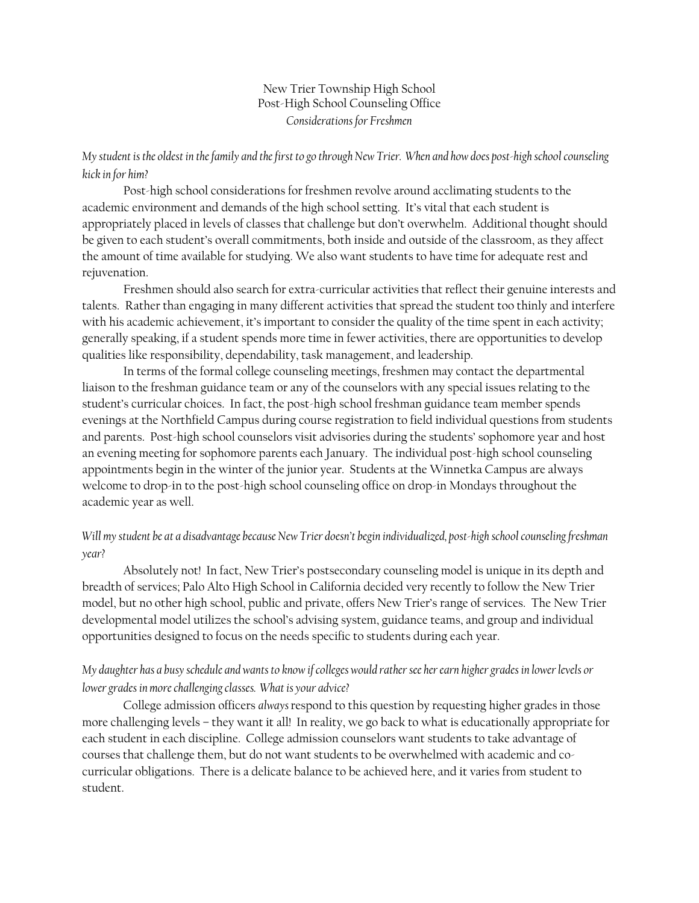New Trier Township High School Post-High School Counseling Office *Considerations for Freshmen* 

#### *My student is the oldest in the family and the first to go through New Trier. When and how does post-high school counseling kick in for him?*

 Post-high school considerations for freshmen revolve around acclimating students to the academic environment and demands of the high school setting. It's vital that each student is appropriately placed in levels of classes that challenge but don't overwhelm. Additional thought should be given to each student's overall commitments, both inside and outside of the classroom, as they affect the amount of time available for studying. We also want students to have time for adequate rest and rejuvenation.

 Freshmen should also search for extra-curricular activities that reflect their genuine interests and talents. Rather than engaging in many different activities that spread the student too thinly and interfere with his academic achievement, it's important to consider the quality of the time spent in each activity; generally speaking, if a student spends more time in fewer activities, there are opportunities to develop qualities like responsibility, dependability, task management, and leadership.

 In terms of the formal college counseling meetings, freshmen may contact the departmental liaison to the freshman guidance team or any of the counselors with any special issues relating to the student's curricular choices. In fact, the post-high school freshman guidance team member spends evenings at the Northfield Campus during course registration to field individual questions from students and parents. Post-high school counselors visit advisories during the students' sophomore year and host an evening meeting for sophomore parents each January. The individual post-high school counseling appointments begin in the winter of the junior year. Students at the Winnetka Campus are always welcome to drop-in to the post-high school counseling office on drop-in Mondays throughout the academic year as well.

# *Will my student be at a disadvantage because New Trier doesn't begin individualized, post-high school counseling freshman year?*

 Absolutely not! In fact, New Trier's postsecondary counseling model is unique in its depth and breadth of services; Palo Alto High School in California decided very recently to follow the New Trier model, but no other high school, public and private, offers New Trier's range of services. The New Trier developmental model utilizes the school's advising system, guidance teams, and group and individual opportunities designed to focus on the needs specific to students during each year.

# *My daughter has a busy schedule and wants to know if colleges would rather see her earn higher grades in lower levels or lower grades in more challenging classes. What is your advice?*

 College admission officers *always* respond to this question by requesting higher grades in those more challenging levels – they want it all! In reality, we go back to what is educationally appropriate for each student in each discipline. College admission counselors want students to take advantage of courses that challenge them, but do not want students to be overwhelmed with academic and cocurricular obligations. There is a delicate balance to be achieved here, and it varies from student to student.